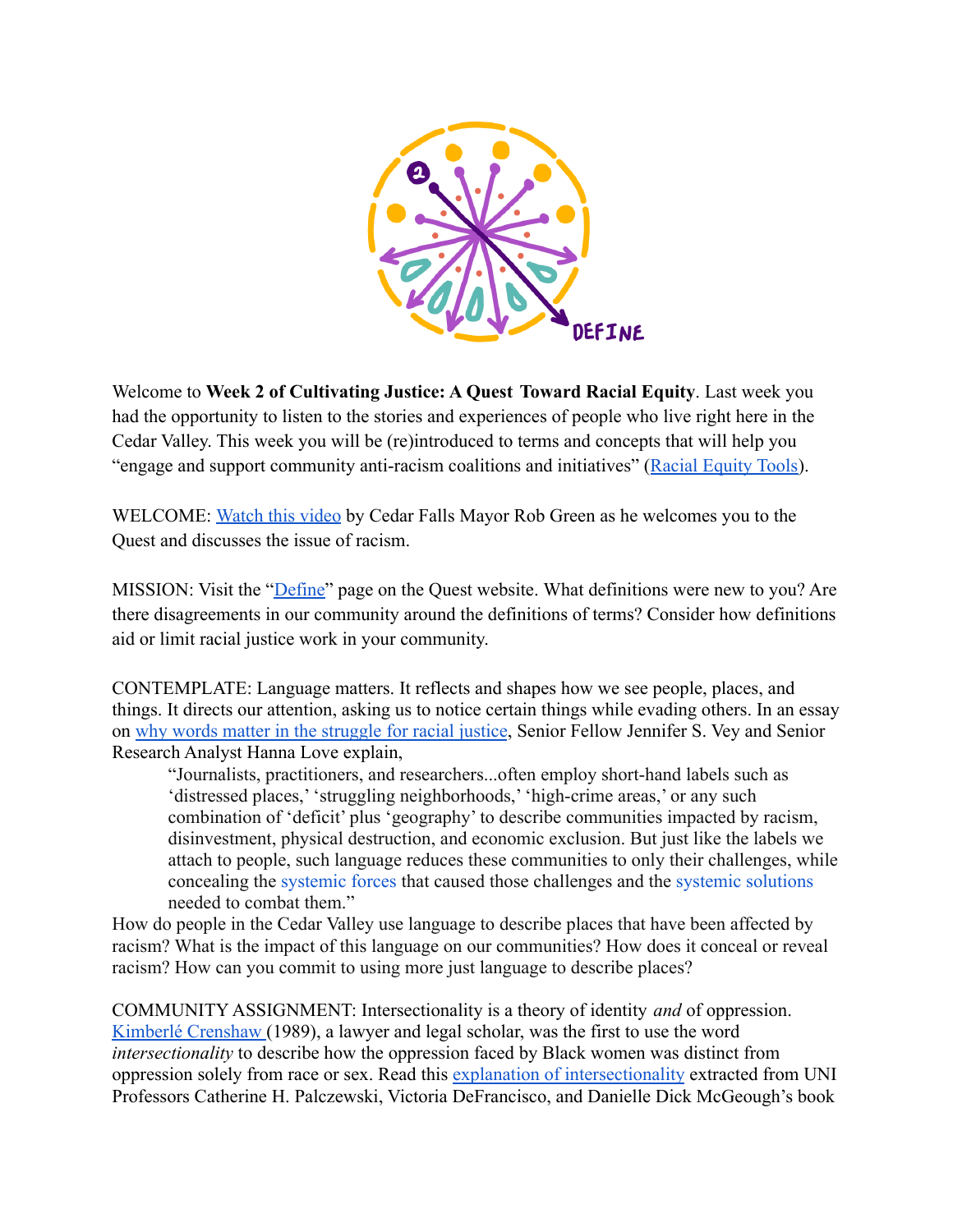

Welcome to Week 2 of Cultivating Justice: A Quest Toward Racial Equity. Last week you had the opportunity to listen to the stories and experiences of people who live right here in the Cedar Valley. This week you will be (re)introduced to terms and concepts that will help you "engage and support community anti-racism coalitions and initiatives" (Racial Equity Tools).

WELCOME: Watch this video by Cedar Falls Mayor Rob Green as he welcomes you to the Quest and discusses the issue of racism.

MISSION: Visit the "*Define*" page on the Quest website. What definitions were new to you? Are there disagreements in our community around the definitions of terms? Consider how definitions aid or limit racial justice work in your community.

CONTEMPLATE: Language matters. It reflects and shapes how we see people, places, and things. It directs our attention, asking us to notice certain things while evading others. In an essay on why words matter in the struggle for racial justice, Senior Fellow Jennifer S. Vey and Senior Research Analyst Hanna Love explain,

³Journalists, practitioners, and researchers...often emplo\ short-hand labels such as 'distressed places,' 'struggling neighborhoods,' 'high-crime areas,' or any such combination of 'deficit' plus 'geography' to describe communities impacted by racism, disinvestment, physical destruction, and economic exclusion. But just like the labels we attach to people, such language reduces these communities to only their challenges, while concealing the systemic forces that caused those challenges and the systemic solutions needed to combat them.´

How do people in the Cedar Valley use language to describe places that have been affected by racism? What is the impact of this language on our communities? How does it conceal or reveal racism? How can you commit to using more just language to describe places?

COMMUNITY ASSIGNMENT: Intersectionality is a theory of identity *and* of oppression. Kimberlé Crenshaw (1989), a lawyer and legal scholar, was the first to use the word *intersectionality* to describe how the oppression faced by Black women was distinct from oppression solely from race or sex. Read this explanation of intersectionality extracted from UNI Professors Catherine H. Palczewski, Victoria DeFrancisco, and Danielle Dick McGeough's book